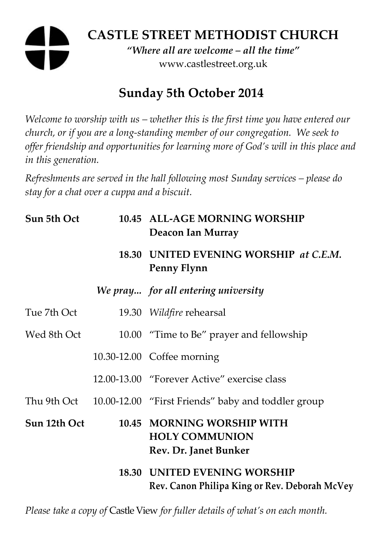# **CASTLE STREET METHODIST CHURCH**

*"Where all are welcome – all the time"*  www.castlestreet.org.uk

## **Sunday 5th October 2014**

*Welcome to worship with us – whether this is the first time you have entered our church, or if you are a long-standing member of our congregation. We seek to offer friendship and opportunities for learning more of God's will in this place and in this generation.* 

*Refreshments are served in the hall following most Sunday services – please do stay for a chat over a cuppa and a biscuit.* 

| Sun 5th Oct  | 10.45 ALL-AGE MORNING WORSHIP<br>Deacon Ian Murray                                   |
|--------------|--------------------------------------------------------------------------------------|
|              | 18.30 UNITED EVENING WORSHIP at C.E.M.<br>Penny Flynn                                |
|              | We pray for all entering university                                                  |
| Tue 7th Oct  | 19.30 Wildfire rehearsal                                                             |
| Wed 8th Oct  | 10.00 "Time to Be" prayer and fellowship                                             |
|              | 10.30-12.00 Coffee morning                                                           |
|              | 12.00-13.00 "Forever Active" exercise class                                          |
|              | Thu 9th Oct 10.00-12.00 "First Friends" baby and toddler group                       |
| Sun 12th Oct | 10.45 MORNING WORSHIP WITH<br><b>HOLY COMMUNION</b><br>Rev. Dr. Janet Bunker         |
|              | <b>18.30 UNITED EVENING WORSHIP</b><br>Rev. Canon Philipa King or Rev. Deborah McVey |

*Please take a copy of* Castle View *for fuller details of what's on each month.*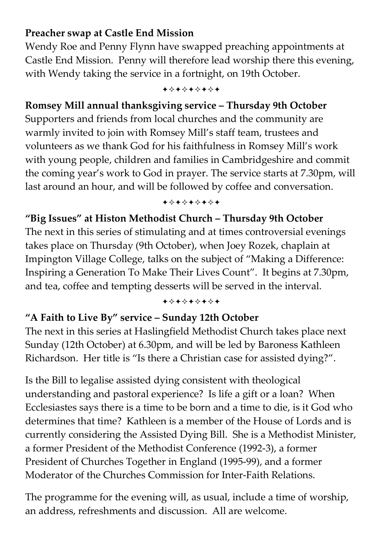#### **Preacher swap at Castle End Mission**

Wendy Roe and Penny Flynn have swapped preaching appointments at Castle End Mission. Penny will therefore lead worship there this evening, with Wendy taking the service in a fortnight, on 19th October.

+\*\*\*\*\*\*\*

#### **Romsey Mill annual thanksgiving service – Thursday 9th October**

Supporters and friends from local churches and the community are warmly invited to join with Romsey Mill's staff team, trustees and volunteers as we thank God for his faithfulness in Romsey Mill's work with young people, children and families in Cambridgeshire and commit the coming year's work to God in prayer. The service starts at 7.30pm, will last around an hour, and will be followed by coffee and conversation.

+\*\*\*\*\*\*\*

#### **"Big Issues" at Histon Methodist Church – Thursday 9th October**

The next in this series of stimulating and at times controversial evenings takes place on Thursday (9th October), when Joey Rozek, chaplain at Impington Village College, talks on the subject of "Making a Difference: Inspiring a Generation To Make Their Lives Count". It begins at 7.30pm, and tea, coffee and tempting desserts will be served in the interval.

#### +\*\*\*\*\*\*\*

#### **"A Faith to Live By" service – Sunday 12th October**

The next in this series at Haslingfield Methodist Church takes place next Sunday (12th October) at 6.30pm, and will be led by Baroness Kathleen Richardson. Her title is "Is there a Christian case for assisted dying?".

Is the Bill to legalise assisted dying consistent with theological understanding and pastoral experience? Is life a gift or a loan? When Ecclesiastes says there is a time to be born and a time to die, is it God who determines that time? Kathleen is a member of the House of Lords and is currently considering the Assisted Dying Bill. She is a Methodist Minister, a former President of the Methodist Conference (1992-3), a former President of Churches Together in England (1995-99), and a former Moderator of the Churches Commission for Inter-Faith Relations.

The programme for the evening will, as usual, include a time of worship, an address, refreshments and discussion. All are welcome.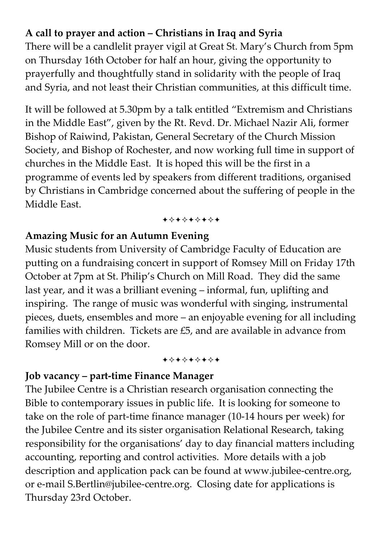## **A call to prayer and action – Christians in Iraq and Syria**

There will be a candlelit prayer vigil at Great St. Mary's Church from 5pm on Thursday 16th October for half an hour, giving the opportunity to prayerfully and thoughtfully stand in solidarity with the people of Iraq and Syria, and not least their Christian communities, at this difficult time.

It will be followed at 5.30pm by a talk entitled "Extremism and Christians in the Middle East", given by the Rt. Revd. Dr. Michael Nazir Ali, former Bishop of Raiwind, Pakistan, General Secretary of the Church Mission Society, and Bishop of Rochester, and now working full time in support of churches in the Middle East. It is hoped this will be the first in a programme of events led by speakers from different traditions, organised by Christians in Cambridge concerned about the suffering of people in the Middle East.

+\*\*\*\*\*\*\*

#### **Amazing Music for an Autumn Evening**

Music students from University of Cambridge Faculty of Education are putting on a fundraising concert in support of Romsey Mill on Friday 17th October at 7pm at St. Philip's Church on Mill Road. They did the same last year, and it was a brilliant evening – informal, fun, uplifting and inspiring. The range of music was wonderful with singing, instrumental pieces, duets, ensembles and more – an enjoyable evening for all including families with children. Tickets are £5, and are available in advance from Romsey Mill or on the door.

#### +\*\*\*\*\*\*\*

#### **Job vacancy – part-time Finance Manager**

The Jubilee Centre is a Christian research organisation connecting the Bible to contemporary issues in public life. It is looking for someone to take on the role of part-time finance manager (10-14 hours per week) for the Jubilee Centre and its sister organisation Relational Research, taking responsibility for the organisations' day to day financial matters including accounting, reporting and control activities. More details with a job description and application pack can be found at www.jubilee-centre.org, or e-mail S.Bertlin@jubilee-centre.org. Closing date for applications is Thursday 23rd October.